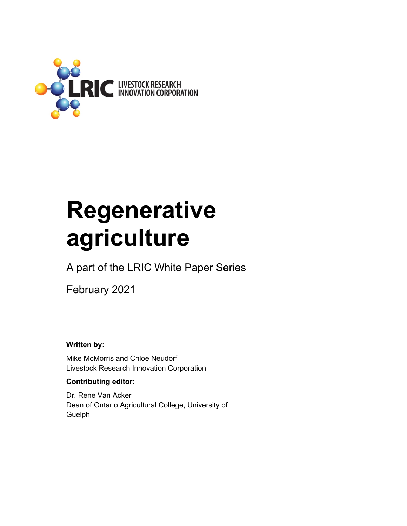

# **Regenerative agriculture**

A part of the LRIC White Paper Series

February 2021

**Written by:** 

Mike McMorris and Chloe Neudorf Livestock Research Innovation Corporation

#### **Contributing editor:**

Dr. Rene Van Acker Dean of Ontario Agricultural College, University of Guelph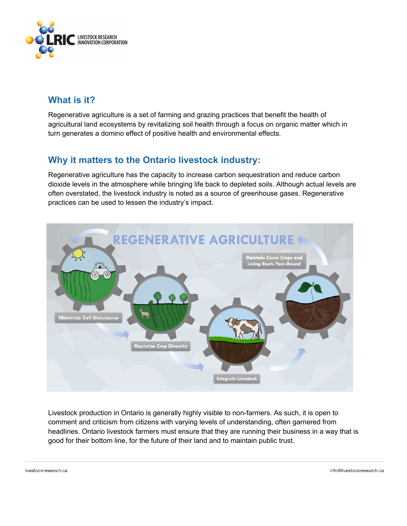

# **What is it?**

Regenerative agriculture is a set of farming and grazing practices that benefit the health of agricultural land ecosystems by revitalizing soil health through a focus on organic matter which in turn generates a domino effect of positive health and environmental effects.

# **Why it matters to the Ontario livestock industry:**

Regenerative agriculture has the capacity to increase carbon sequestration and reduce carbon dioxide levels in the atmosphere while bringing life back to depleted soils. Although actual levels are often overstated, the livestock industry is noted as a source of greenhouse gases. Regenerative practices can be used to lessen the industry's impact.



Livestock production in Ontario is generally highly visible to non-farmers. As such, it is open to comment and criticism from citizens with varying levels of understanding, often garnered from headlines. Ontario livestock farmers must ensure that they are running their business in a way that is good for their bottom line, for the future of their land and to maintain public trust.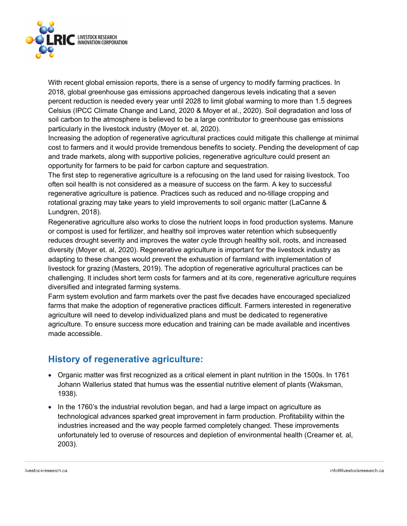

With recent global emission reports, there is a sense of urgency to modify farming practices. In 2018, global greenhouse gas emissions approached dangerous levels indicating that a seven percent reduction is needed every year until 2028 to limit global warming to more than 1.5 degrees Celsius (IPCC Climate Change and Land, 2020 & Moyer et al., 2020). Soil degradation and loss of soil carbon to the atmosphere is believed to be a large contributor to greenhouse gas emissions particularly in the livestock industry (Moyer et. al, 2020).

Increasing the adoption of regenerative agricultural practices could mitigate this challenge at minimal cost to farmers and it would provide tremendous benefits to society. Pending the development of cap and trade markets, along with supportive policies, regenerative agriculture could present an opportunity for farmers to be paid for carbon capture and sequestration.

The first step to regenerative agriculture is a refocusing on the land used for raising livestock. Too often soil health is not considered as a measure of success on the farm. A key to successful regenerative agriculture is patience. Practices such as reduced and no-tillage cropping and rotational grazing may take years to yield improvements to soil organic matter (LaCanne & Lundgren, 2018).

Regenerative agriculture also works to close the nutrient loops in food production systems. Manure or compost is used for fertilizer, and healthy soil improves water retention which subsequently reduces drought severity and improves the water cycle through healthy soil, roots, and increased diversity (Moyer et. al, 2020). Regenerative agriculture is important for the livestock industry as adapting to these changes would prevent the exhaustion of farmland with implementation of livestock for grazing (Masters, 2019). The adoption of regenerative agricultural practices can be challenging. It includes short term costs for farmers and at its core, regenerative agriculture requires diversified and integrated farming systems.

Farm system evolution and farm markets over the past five decades have encouraged specialized farms that make the adoption of regenerative practices difficult. Farmers interested in regenerative agriculture will need to develop individualized plans and must be dedicated to regenerative agriculture. To ensure success more education and training can be made available and incentives made accessible.

# **History of regenerative agriculture:**

- Organic matter was first recognized as a critical element in plant nutrition in the 1500s. In 1761 Johann Wallerius stated that humus was the essential nutritive element of plants (Waksman, 1938).
- In the 1760's the industrial revolution began, and had a large impact on agriculture as technological advances sparked great improvement in farm production. Profitability within the industries increased and the way people farmed completely changed. These improvements unfortunately led to overuse of resources and depletion of environmental health (Creamer et. al, 2003).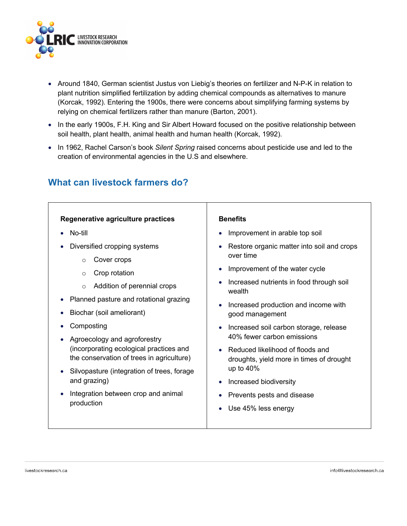

- Around 1840, German scientist Justus von Liebig's theories on fertilizer and N-P-K in relation to plant nutrition simplified fertilization by adding chemical compounds as alternatives to manure (Korcak, 1992). Entering the 1900s, there were concerns about simplifying farming systems by relying on chemical fertilizers rather than manure (Barton, 2001).
- In the early 1900s, F.H. King and Sir Albert Howard focused on the positive relationship between soil health, plant health, animal health and human health (Korcak, 1992).
- In 1962, Rachel Carson's book *Silent Spring* raised concerns about pesticide use and led to the creation of environmental agencies in the U.S and elsewhere.

# **What can livestock farmers do?**

#### **Regenerative agriculture practices** • No-till • Diversified cropping systems o Cover crops o Crop rotation o Addition of perennial crops • Planned pasture and rotational grazing • Biochar (soil ameliorant) • Composting • Agroecology and agroforestry (incorporating ecological practices and the conservation of trees in agriculture) • Silvopasture (integration of trees, forage and grazing) • Integration between crop and animal production **Benefits** • Improvement in arable top soil • Restore organic matter into soil and crops over time • Improvement of the water cycle • Increased nutrients in food through soil wealth • Increased production and income with good management • Increased soil carbon storage, release 40% fewer carbon emissions • Reduced likelihood of floods and droughts, yield more in times of drought up to 40% • Increased biodiversity • Prevents pests and disease • Use 45% less energy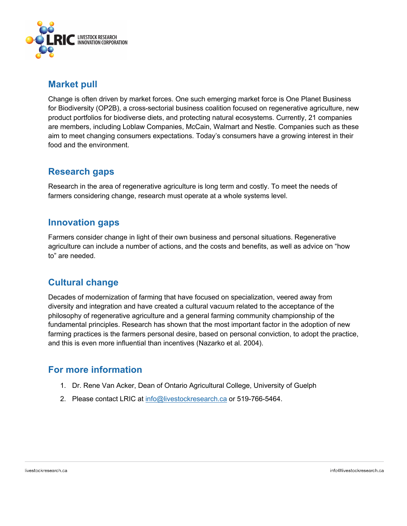

### **Market pull**

Change is often driven by market forces. One such emerging market force is One Planet Business for Biodiversity (OP2B), a cross-sectorial business coalition focused on regenerative agriculture, new product portfolios for biodiverse diets, and protecting natural ecosystems. Currently, 21 companies are members, including Loblaw Companies, McCain, Walmart and Nestle. Companies such as these aim to meet changing consumers expectations. Today's consumers have a growing interest in their food and the environment.

## **Research gaps**

Research in the area of regenerative agriculture is long term and costly. To meet the needs of farmers considering change, research must operate at a whole systems level.

### **Innovation gaps**

Farmers consider change in light of their own business and personal situations. Regenerative agriculture can include a number of actions, and the costs and benefits, as well as advice on "how to" are needed.

# **Cultural change**

Decades of modernization of farming that have focused on specialization, veered away from diversity and integration and have created a cultural vacuum related to the acceptance of the philosophy of regenerative agriculture and a general farming community championship of the fundamental principles. Research has shown that the most important factor in the adoption of new farming practices is the farmers personal desire, based on personal conviction, to adopt the practice, and this is even more influential than incentives (Nazarko et al. 2004).

### **For more information**

- 1. Dr. Rene Van Acker, Dean of Ontario Agricultural College, University of Guelph
- 2. Please contact LRIC at info@livestockresearch.ca or 519-766-5464.